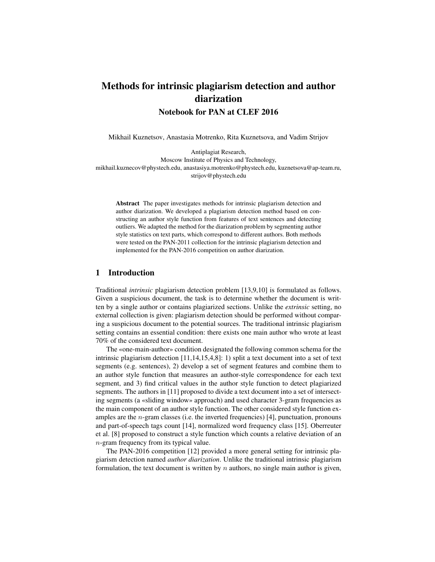# Methods for intrinsic plagiarism detection and author diarization

Notebook for PAN at CLEF 2016

Mikhail Kuznetsov, Anastasia Motrenko, Rita Kuznetsova, and Vadim Strijov

Antiplagiat Research, Moscow Institute of Physics and Technology, mikhail.kuznecov@phystech.edu, anastasiya.motrenko@phystech.edu, kuznetsova@ap-team.ru, strijov@phystech.edu

Abstract The paper investigates methods for intrinsic plagiarism detection and author diarization. We developed a plagiarism detection method based on constructing an author style function from features of text sentences and detecting outliers. We adapted the method for the diarization problem by segmenting author style statistics on text parts, which correspond to different authors. Both methods were tested on the PAN-2011 collection for the intrinsic plagiarism detection and implemented for the PAN-2016 competition on author diarization.

## 1 Introduction

Traditional *intrinsic* plagiarism detection problem [13,9,10] is formulated as follows. Given a suspicious document, the task is to determine whether the document is written by a single author or contains plagiarized sections. Unlike the *extrinsic* setting, no external collection is given: plagiarism detection should be performed without comparing a suspicious document to the potential sources. The traditional intrinsic plagiarism setting contains an essential condition: there exists one main author who wrote at least 70% of the considered text document.

The «one-main-author» condition designated the following common schema for the intrinsic plagiarism detection [11,14,15,4,8]: 1) split a text document into a set of text segments (e.g. sentences), 2) develop a set of segment features and combine them to an author style function that measures an author-style correspondence for each text segment, and 3) find critical values in the author style function to detect plagiarized segments. The authors in [11] proposed to divide a text document into a set of intersecting segments (a «sliding window» approach) and used character 3-gram frequencies as the main component of an author style function. The other considered style function examples are the  $n$ -gram classes (i.e. the inverted frequencies) [4], punctuation, pronouns and part-of-speech tags count [14], normalized word frequency class [15]. Oberreuter et al. [8] proposed to construct a style function which counts a relative deviation of an n-gram frequency from its typical value.

The PAN-2016 competition [12] provided a more general setting for intrinsic plagiarism detection named *author diarization*. Unlike the traditional intrinsic plagiarism formulation, the text document is written by  $n$  authors, no single main author is given,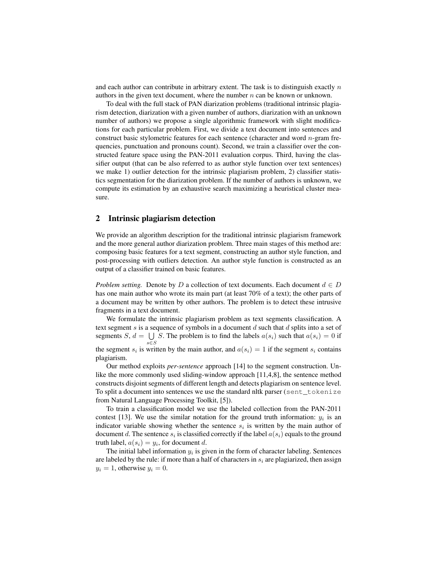and each author can contribute in arbitrary extent. The task is to distinguish exactly  $n$ authors in the given text document, where the number  $n$  can be known or unknown.

To deal with the full stack of PAN diarization problems (traditional intrinsic plagiarism detection, diarization with a given number of authors, diarization with an unknown number of authors) we propose a single algorithmic framework with slight modifications for each particular problem. First, we divide a text document into sentences and construct basic stylometric features for each sentence (character and word  $n$ -gram frequencies, punctuation and pronouns count). Second, we train a classifier over the constructed feature space using the PAN-2011 evaluation corpus. Third, having the classifier output (that can be also referred to as author style function over text sentences) we make 1) outlier detection for the intrinsic plagiarism problem, 2) classifier statistics segmentation for the diarization problem. If the number of authors is unknown, we compute its estimation by an exhaustive search maximizing a heuristical cluster measure.

## 2 Intrinsic plagiarism detection

We provide an algorithm description for the traditional intrinsic plagiarism framework and the more general author diarization problem. Three main stages of this method are: composing basic features for a text segment, constructing an author style function, and post-processing with outliers detection. An author style function is constructed as an output of a classifier trained on basic features.

*Problem setting.* Denote by D a collection of text documents. Each document  $d \in D$ has one main author who wrote its main part (at least 70% of a text); the other parts of a document may be written by other authors. The problem is to detect these intrusive fragments in a text document.

We formulate the intrinsic plagiarism problem as text segments classification. A text segment  $s$  is a sequence of symbols in a document  $d$  such that  $d$  splits into a set of segments  $S, d = \bigcup S$ . The problem is to find the labels  $a(s_i)$  such that  $a(s_i) = 0$  if the segment  $s_i$  is written by the main author, and  $a(s_i) = 1$  if the segment  $s_i$  contains

plagiarism. Our method exploits *per-sentence* approach [14] to the segment construction. Unlike the more commonly used sliding-window approach [11,4,8], the sentence method constructs disjoint segments of different length and detects plagiarism on sentence level. To split a document into sentences we use the standard nltk parser (sent\_tokenize from Natural Language Processing Toolkit, [5]).

To train a classification model we use the labeled collection from the PAN-2011 contest [13]. We use the similar notation for the ground truth information:  $y_i$  is an indicator variable showing whether the sentence  $s_i$  is written by the main author of document d. The sentence  $s_i$  is classified correctly if the label  $a(s_i)$  equals to the ground truth label,  $a(s_i) = y_i$ , for document d.

The initial label information  $y_i$  is given in the form of character labeling. Sentences are labeled by the rule: if more than a half of characters in  $s_i$  are plagiarized, then assign  $y_i = 1$ , otherwise  $y_i = 0$ .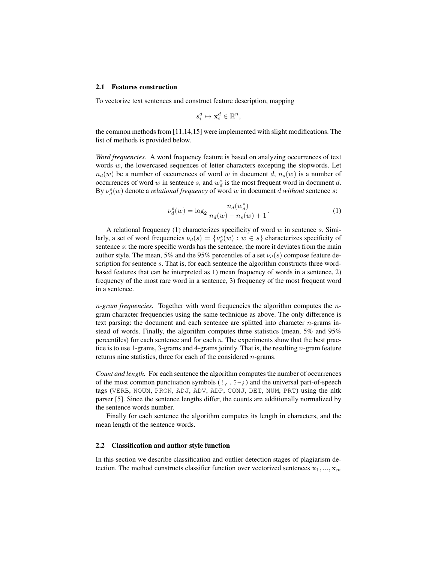#### 2.1 Features construction

To vectorize text sentences and construct feature description, mapping

$$
s_i^d \mapsto \mathbf{x}_i^d \in \mathbb{R}^n,
$$

the common methods from [11,14,15] were implemented with slight modifications. The list of methods is provided below.

*Word frequencies.* A word frequency feature is based on analyzing occurrences of text words  $w$ , the lowercased sequences of letter characters excepting the stopwords. Let  $n_d(w)$  be a number of occurrences of word w in document d,  $n_s(w)$  is a number of occurrences of word w in sentence s, and  $w_d^*$  is the most frequent word in document d. By  $\nu_d^s(w)$  denote a *relational frequency* of word w in document d without sentence s:

$$
\nu_d^s(w) = \log_2 \frac{n_d(w_d^*)}{n_d(w) - n_s(w) + 1}.\tag{1}
$$

A relational frequency (1) characterizes specificity of word  $w$  in sentence  $s$ . Similarly, a set of word frequencies  $\nu_d(s) = \{\nu_d^s(w) : w \in s\}$  characterizes specificity of sentence s: the more specific words has the sentence, the more it deviates from the main author style. The mean, 5% and the 95% percentiles of a set  $\nu_d(s)$  compose feature description for sentence s. That is, for each sentence the algorithm constructs three wordbased features that can be interpreted as 1) mean frequency of words in a sentence, 2) frequency of the most rare word in a sentence, 3) frequency of the most frequent word in a sentence.

n*-gram frequencies.* Together with word frequencies the algorithm computes the ngram character frequencies using the same technique as above. The only difference is text parsing: the document and each sentence are splitted into character  $n$ -grams instead of words. Finally, the algorithm computes three statistics (mean, 5% and 95% percentiles) for each sentence and for each  $n$ . The experiments show that the best practice is to use 1-grams, 3-grams and 4-grams jointly. That is, the resulting  $n$ -gram feature returns nine statistics, three for each of the considered *n*-grams.

*Count and length.* For each sentence the algorithm computes the number of occurrences of the most common punctuation symbols  $(1, .2-)$  and the universal part-of-speech tags (VERB, NOUN, PRON, ADJ, ADV, ADP, CONJ, DET, NUM, PRT) using the nltk parser [5]. Since the sentence lengths differ, the counts are additionally normalized by the sentence words number.

Finally for each sentence the algorithm computes its length in characters, and the mean length of the sentence words.

#### 2.2 Classification and author style function

In this section we describe classification and outlier detection stages of plagiarism detection. The method constructs classifier function over vectorized sentences  $x_1, ..., x_m$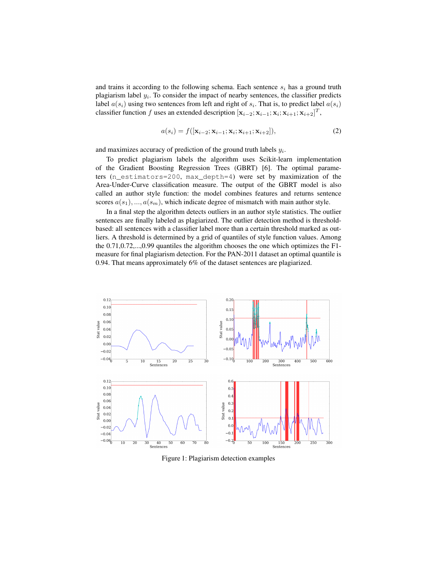and trains it according to the following schema. Each sentence  $s_i$  has a ground truth plagiarism label  $y_i$ . To consider the impact of nearby sentences, the classifier predicts label  $a(s_i)$  using two sentences from left and right of  $s_i$ . That is, to predict label  $a(s_i)$ classifier function f uses an extended description  $[\mathbf{x}_{i-2}; \mathbf{x}_{i-1}; \mathbf{x}_i; \mathbf{x}_{i+1}; \mathbf{x}_{i+2}]^T$ ,

$$
a(s_i) = f([\mathbf{x}_{i-2}; \mathbf{x}_{i-1}; \mathbf{x}_i; \mathbf{x}_{i+1}; \mathbf{x}_{i+2}]),
$$
\n(2)

and maximizes accuracy of prediction of the ground truth labels  $y_i$ .

To predict plagiarism labels the algorithm uses Scikit-learn implementation of the Gradient Boosting Regression Trees (GBRT) [6]. The optimal parameters (n\_estimators=200, max\_depth=4) were set by maximization of the Area-Under-Curve classification measure. The output of the GBRT model is also called an author style function: the model combines features and returns sentence scores  $a(s_1),..., a(s_m)$ , which indicate degree of mismatch with main author style.

In a final step the algorithm detects outliers in an author style statistics. The outlier sentences are finally labeled as plagiarized. The outlier detection method is thresholdbased: all sentences with a classifier label more than a certain threshold marked as outliers. A threshold is determined by a grid of quantiles of style function values. Among the 0.71,0.72,...,0.99 quantiles the algorithm chooses the one which optimizes the F1 measure for final plagiarism detection. For the PAN-2011 dataset an optimal quantile is 0.94. That means approximately 6% of the dataset sentences are plagiarized.



Figure 1: Plagiarism detection examples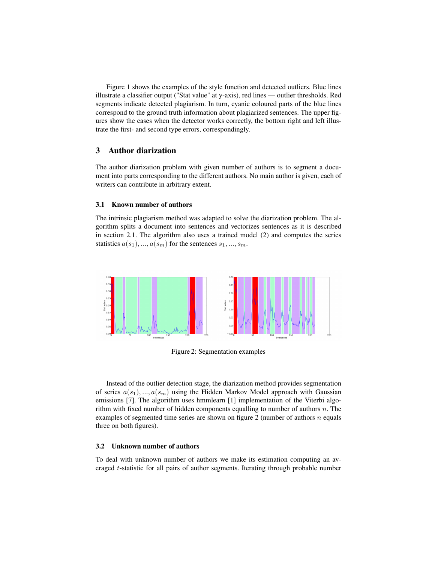Figure 1 shows the examples of the style function and detected outliers. Blue lines illustrate a classifier output ("Stat value" at y-axis), red lines — outlier thresholds. Red segments indicate detected plagiarism. In turn, cyanic coloured parts of the blue lines correspond to the ground truth information about plagiarized sentences. The upper figures show the cases when the detector works correctly, the bottom right and left illustrate the first- and second type errors, correspondingly.

## 3 Author diarization

The author diarization problem with given number of authors is to segment a document into parts corresponding to the different authors. No main author is given, each of writers can contribute in arbitrary extent.

### 3.1 Known number of authors

The intrinsic plagiarism method was adapted to solve the diarization problem. The algorithm splits a document into sentences and vectorizes sentences as it is described in section 2.1. The algorithm also uses a trained model (2) and computes the series statistics  $a(s_1), ..., a(s_m)$  for the sentences  $s_1, ..., s_m$ .



Figure 2: Segmentation examples

Instead of the outlier detection stage, the diarization method provides segmentation of series  $a(s_1),...,a(s_m)$  using the Hidden Markov Model approach with Gaussian emissions [7]. The algorithm uses hmmlearn [1] implementation of the Viterbi algorithm with fixed number of hidden components equalling to number of authors  $n$ . The examples of segmented time series are shown on figure 2 (number of authors  $n$  equals three on both figures).

## 3.2 Unknown number of authors

To deal with unknown number of authors we make its estimation computing an averaged t-statistic for all pairs of author segments. Iterating through probable number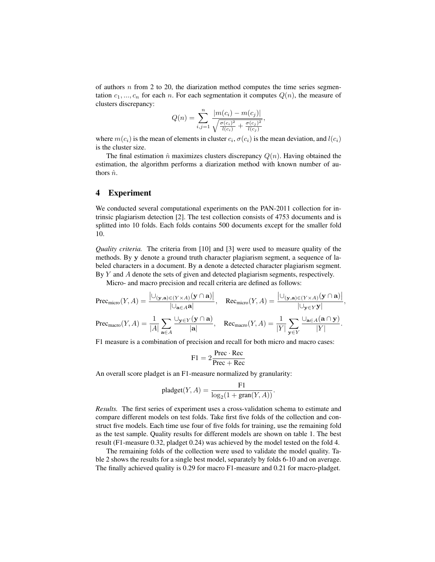of authors  $n$  from 2 to 20, the diarization method computes the time series segmentation  $c_1, ..., c_n$  for each n. For each segmentation it computes  $Q(n)$ , the measure of clusters discrepancy:

$$
Q(n) = \sum_{i,j=1}^{n} \frac{|m(c_i) - m(c_j)|}{\sqrt{\frac{\sigma(c_i)^2}{l(c_i)} + \frac{\sigma(c_j)^2}{l(c_j)}}},
$$

where  $m(c_i)$  is the mean of elements in cluster  $c_i, \sigma(c_i)$  is the mean deviation, and  $l(c_i)$ is the cluster size.

The final estimation  $\hat{n}$  maximizes clusters discrepancy  $Q(n)$ . Having obtained the estimation, the algorithm performs a diarization method with known number of authors  $\hat{n}$ .

## 4 Experiment

We conducted several computational experiments on the PAN-2011 collection for intrinsic plagiarism detection [2]. The test collection consists of 4753 documents and is splitted into 10 folds. Each folds contains 500 documents except for the smaller fold 10.

*Quality criteria.* The criteria from [10] and [3] were used to measure quality of the methods. By y denote a ground truth character plagiarism segment, a sequence of labeled characters in a document. By a denote a detected character plagiarism segment. By Y and A denote the sets of given and detected plagiarism segments, respectively.

Micro- and macro precision and recall criteria are defined as follows:

$$
\text{Prec}_{\text{micro}}(Y, A) = \frac{\left| \bigcup_{(\mathbf{y}, \mathbf{a}) \in (Y \times A)} (\mathbf{y} \cap \mathbf{a}) \right|}{\left| \bigcup_{\mathbf{a} \in A} \mathbf{a} \right|}, \quad \text{Rec}_{\text{micro}}(Y, A) = \frac{\left| \bigcup_{(\mathbf{y}, \mathbf{a}) \in (Y \times A)} (\mathbf{y} \cap \mathbf{a}) \right|}{\left| \bigcup_{\mathbf{y} \in Y} \mathbf{y} \right|},
$$
\n
$$
\text{Prec}_{\text{macro}}(Y, A) = \frac{1}{|A|} \sum_{\mathbf{a} \in A} \frac{\bigcup_{\mathbf{y} \in Y} (\mathbf{y} \cap \mathbf{a})}{|\mathbf{a}|}, \quad \text{Rec}_{\text{macro}}(Y, A) = \frac{1}{|Y|} \sum_{\mathbf{y} \in Y} \frac{\bigcup_{\mathbf{a} \in A} (\mathbf{a} \cap \mathbf{y})}{|Y|}.
$$

F1 measure is a combination of precision and recall for both micro and macro cases:

$$
F1 = 2 \frac{\text{Prec} \cdot \text{Rec}}{\text{Prec} + \text{Rec}}
$$

An overall score pladget is an F1-measure normalized by granularity:

$$
\text{pladget}(Y, A) = \frac{F1}{\log_2(1 + \text{gran}(Y, A))}.
$$

*Results.* The first series of experiment uses a cross-validation schema to estimate and compare different models on test folds. Take first five folds of the collection and construct five models. Each time use four of five folds for training, use the remaining fold as the test sample. Quality results for different models are shown on table 1. The best result (F1-measure 0.32, pladget 0.24) was achieved by the model tested on the fold 4.

The remaining folds of the collection were used to validate the model quality. Table 2 shows the results for a single best model, separately by folds 6-10 and on average. The finally achieved quality is 0.29 for macro F1-measure and 0.21 for macro-pladget.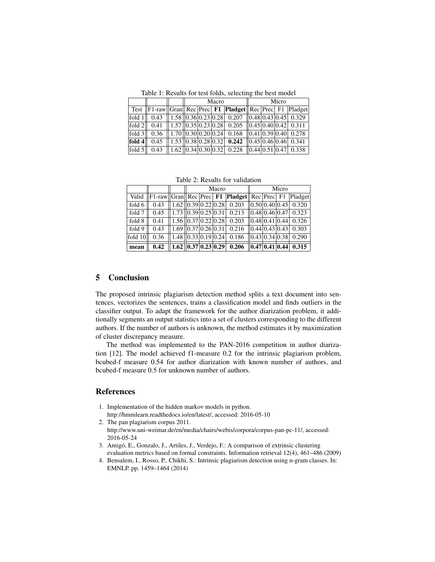Table 1: Results for test folds, selecting the best model

|          |      |  | Macro |  |  |                                                                                                                                | Micro |  |  |  |  |
|----------|------|--|-------|--|--|--------------------------------------------------------------------------------------------------------------------------------|-------|--|--|--|--|
|          |      |  |       |  |  | Test  F1-raw  Gran  Rec  Prec   F1  Pladget  Rec  Prec   F1  Pladget                                                           |       |  |  |  |  |
| fold $1$ | 0.43 |  |       |  |  | $\left  \frac{1.58}{0.36} \right  0.23 \left  0.28 \right $ 0.207 $\left  \frac{0.48}{0.43} \right  0.45 \left  0.329 \right $ |       |  |  |  |  |
| fold $2$ | 0.41 |  |       |  |  | $1.57$ $ 0.35 0.23 0.28 $ 0.205 $ 0.45 0.40 0.42 $ 0.311                                                                       |       |  |  |  |  |
| fold $3$ | 0.36 |  |       |  |  | $1.70$ $(0.30)0.20$ $(0.24)$ $0.168$ $(0.41)0.39$ $(0.40)$ $0.278$                                                             |       |  |  |  |  |
| fold $4$ | 0.45 |  |       |  |  | $\ 1.53\ 0.38\ 0.28\ 0.32\ $ 0.242 $\ 0.45\ 0.46\ 0.46\ 0.341$                                                                 |       |  |  |  |  |
| fold $5$ | 0.43 |  |       |  |  | $1.62$ 0.34 0.30 0.32 0.228 0.44 0.51 0.47 0.338                                                                               |       |  |  |  |  |

Table 2: Results for validation

|         |      | Macro |  |  |                                                                                                                                          | Micro |  |  |  |
|---------|------|-------|--|--|------------------------------------------------------------------------------------------------------------------------------------------|-------|--|--|--|
|         |      |       |  |  | Valid  F1-raw  Gran  Rec Prec F1  Pladget  Rec Prec F1  Pladget                                                                          |       |  |  |  |
| fold 6  | 0.43 |       |  |  | $1.62$ 0.39 0.22 0.28 0.203 0.50 0.40 0.45 0.320                                                                                         |       |  |  |  |
| fold 7  | 0.45 |       |  |  | $\ 1.73\ 0.39\ 0.25\ 0.31\ 0.213\ 0.48\ 0.46\ 0.47\ 0.323$                                                                               |       |  |  |  |
| fold 8  | 0.41 |       |  |  | $1.56$ $ 0.37 0.22 0.28 $ 0.203 $ 0.48 0.41 0.44 $ 0.326                                                                                 |       |  |  |  |
| fold 9  | 0.43 |       |  |  | $1.69$ 0.37 0.26 0.31 0.216 0.44 0.43 0.43 0.303                                                                                         |       |  |  |  |
| fold 10 | 0.36 |       |  |  | $1.48$ 0.33 0.19 0.24 0.186 0.43 0.34 0.38 0.290                                                                                         |       |  |  |  |
| mean    | 0.42 |       |  |  | $\boxed{1.62}$ $\boxed{0.37}$ $\boxed{0.23}$ $\boxed{0.29}$ $\boxed{0.206}$ $\boxed{0.47}$ $\boxed{0.41}$ $\boxed{0.44}$ $\boxed{0.315}$ |       |  |  |  |

## 5 Conclusion

The proposed intrinsic plagiarism detection method splits a text document into sentences, vectorizes the sentences, trains a classification model and finds outliers in the classifier output. To adapt the framework for the author diarization problem, it additionally segments an output statistics into a set of clusters corresponding to the different authors. If the number of authors is unknown, the method estimates it by maximization of cluster discrepancy measure.

The method was implemented to the PAN-2016 competition in author diarization [12]. The model achieved f1-measure 0.2 for the intrinsic plagiarism problem, bcubed-f measure 0.54 for author diarization with known number of authors, and bcubed-f measure 0.5 for unknown number of authors.

## References

- 1. Implementation of the hidden markov models in python. http://hmmlearn.readthedocs.io/en/latest/, accessed: 2016-05-10
- 2. The pan plagiarism corpus 2011. http://www.uni-weimar.de/en/media/chairs/webis/corpora/corpus-pan-pc-11/, accessed: 2016-05-24
- 3. Amigó, E., Gonzalo, J., Artiles, J., Verdejo, F.: A comparison of extrinsic clustering evaluation metrics based on formal constraints. Information retrieval 12(4), 461–486 (2009)
- 4. Bensalem, I., Rosso, P., Chikhi, S.: Intrinsic plagiarism detection using n-gram classes. In: EMNLP. pp. 1459–1464 (2014)